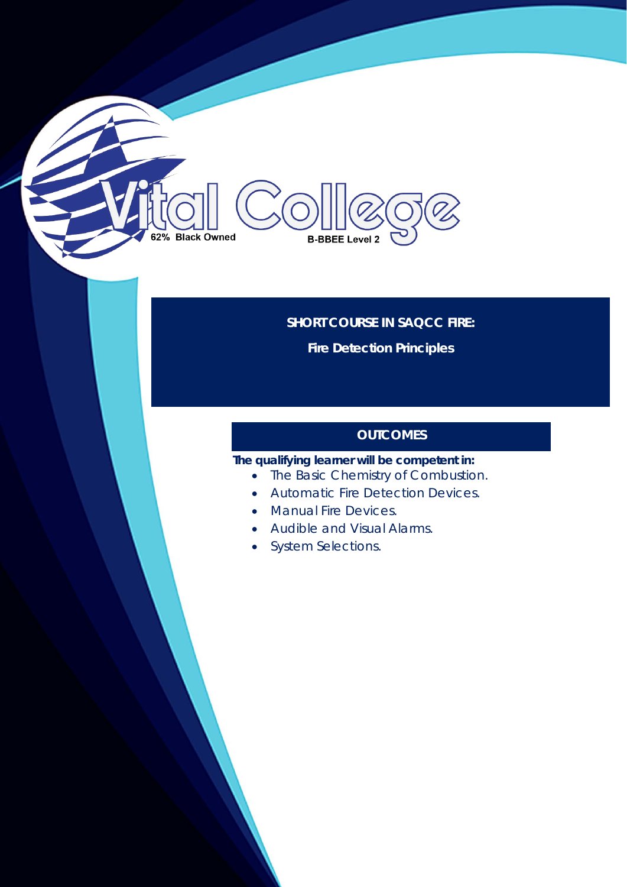# **SHORT COURSE IN SAQCC FIRE:**

**B-BBEE Level 2** 

**Fire Detection Principles**

### **OUTCOMES**

**The qualifying learner will be competent in:**

- The Basic Chemistry of Combustion.
- Automatic Fire Detection Devices.
- Manual Fire Devices.
- Audible and Visual Alarms.
- System Selections.

62% Black Owned